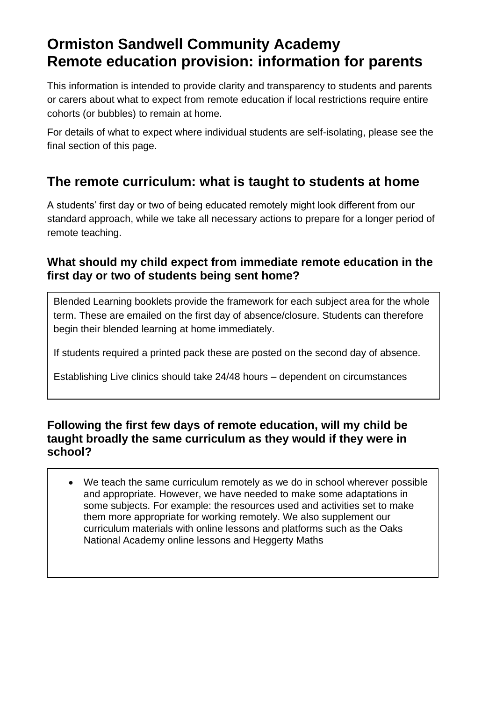# **Ormiston Sandwell Community Academy Remote education provision: information for parents**

This information is intended to provide clarity and transparency to students and parents or carers about what to expect from remote education if local restrictions require entire cohorts (or bubbles) to remain at home.

For details of what to expect where individual students are self-isolating, please see the final section of this page.

# **The remote curriculum: what is taught to students at home**

A students' first day or two of being educated remotely might look different from our standard approach, while we take all necessary actions to prepare for a longer period of remote teaching.

### **What should my child expect from immediate remote education in the first day or two of students being sent home?**

Blended Learning booklets provide the framework for each subject area for the whole term. These are emailed on the first day of absence/closure. Students can therefore begin their blended learning at home immediately.

If students required a printed pack these are posted on the second day of absence.

Establishing Live clinics should take 24/48 hours – dependent on circumstances

#### **Following the first few days of remote education, will my child be taught broadly the same curriculum as they would if they were in school?**

• We teach the same curriculum remotely as we do in school wherever possible and appropriate. However, we have needed to make some adaptations in some subjects. For example: the resources used and activities set to make them more appropriate for working remotely. We also supplement our curriculum materials with online lessons and platforms such as the Oaks National Academy online lessons and Heggerty Maths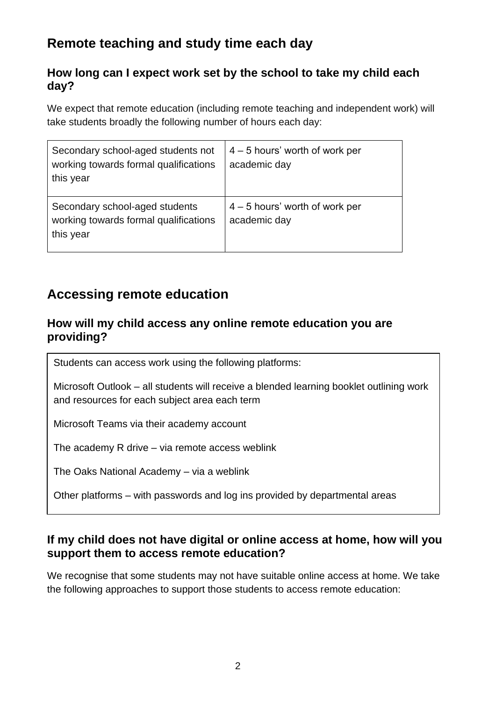# **Remote teaching and study time each day**

### **How long can I expect work set by the school to take my child each day?**

We expect that remote education (including remote teaching and independent work) will take students broadly the following number of hours each day:

| Secondary school-aged students not<br>working towards formal qualifications<br>this year | $4 - 5$ hours' worth of work per<br>academic day |
|------------------------------------------------------------------------------------------|--------------------------------------------------|
| Secondary school-aged students<br>working towards formal qualifications<br>this year     | $4 - 5$ hours' worth of work per<br>academic day |

## **Accessing remote education**

#### **How will my child access any online remote education you are providing?**

Students can access work using the following platforms:

Microsoft Outlook – all students will receive a blended learning booklet outlining work and resources for each subject area each term

Microsoft Teams via their academy account

The academy R drive – via remote access weblink

The Oaks National Academy – via a weblink

Other platforms – with passwords and log ins provided by departmental areas

### **If my child does not have digital or online access at home, how will you support them to access remote education?**

We recognise that some students may not have suitable online access at home. We take the following approaches to support those students to access remote education: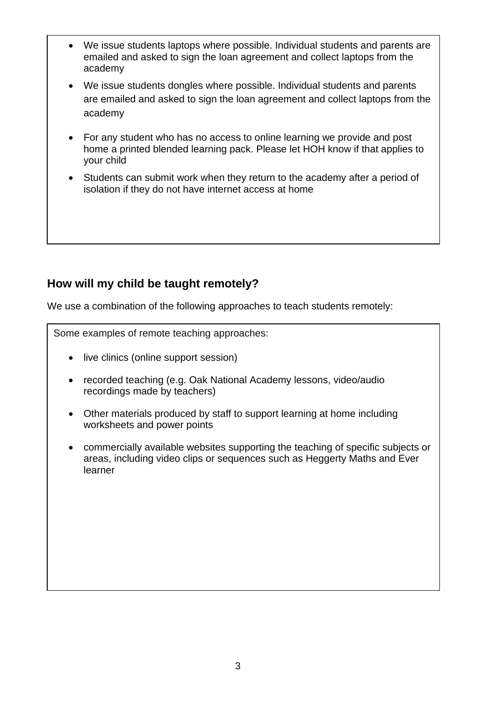- We issue students laptops where possible. Individual students and parents are emailed and asked to sign the loan agreement and collect laptops from the academy
- We issue students dongles where possible. Individual students and parents are emailed and asked to sign the loan agreement and collect laptops from the academy
- For any student who has no access to online learning we provide and post home a printed blended learning pack. Please let HOH know if that applies to your child
- Students can submit work when they return to the academy after a period of isolation if they do not have internet access at home

### **How will my child be taught remotely?**

We use a combination of the following approaches to teach students remotely:

Some examples of remote teaching approaches:

- live clinics (online support session)
- recorded teaching (e.g. Oak National Academy lessons, video/audio recordings made by teachers)
- Other materials produced by staff to support learning at home including worksheets and power points
- commercially available websites supporting the teaching of specific subjects or areas, including video clips or sequences such as Heggerty Maths and Ever learner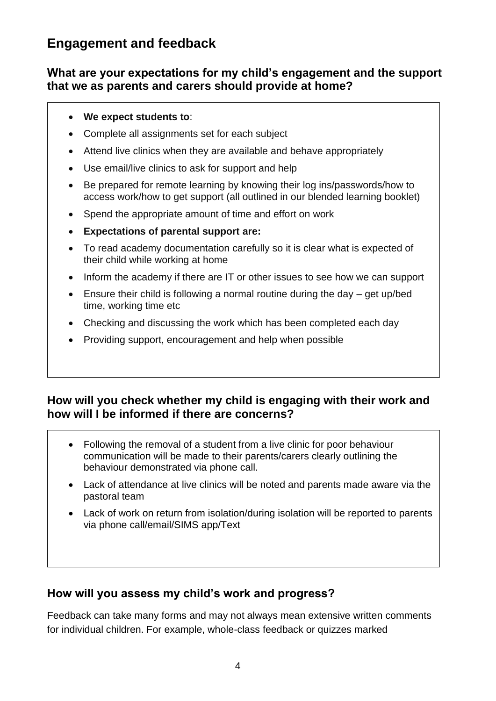# **Engagement and feedback**

#### **What are your expectations for my child's engagement and the support that we as parents and carers should provide at home?**

#### • **We expect students to**:

- Complete all assignments set for each subject
- Attend live clinics when they are available and behave appropriately
- Use email/live clinics to ask for support and help
- Be prepared for remote learning by knowing their log ins/passwords/how to access work/how to get support (all outlined in our blended learning booklet)
- Spend the appropriate amount of time and effort on work
- **Expectations of parental support are:**
- To read academy documentation carefully so it is clear what is expected of their child while working at home
- Inform the academy if there are IT or other issues to see how we can support
- Ensure their child is following a normal routine during the day get up/bed time, working time etc
- Checking and discussing the work which has been completed each day
- Providing support, encouragement and help when possible

#### **How will you check whether my child is engaging with their work and how will I be informed if there are concerns?**

- Following the removal of a student from a live clinic for poor behaviour communication will be made to their parents/carers clearly outlining the behaviour demonstrated via phone call.
- Lack of attendance at live clinics will be noted and parents made aware via the pastoral team
- Lack of work on return from isolation/during isolation will be reported to parents via phone call/email/SIMS app/Text

### **How will you assess my child's work and progress?**

Feedback can take many forms and may not always mean extensive written comments for individual children. For example, whole-class feedback or quizzes marked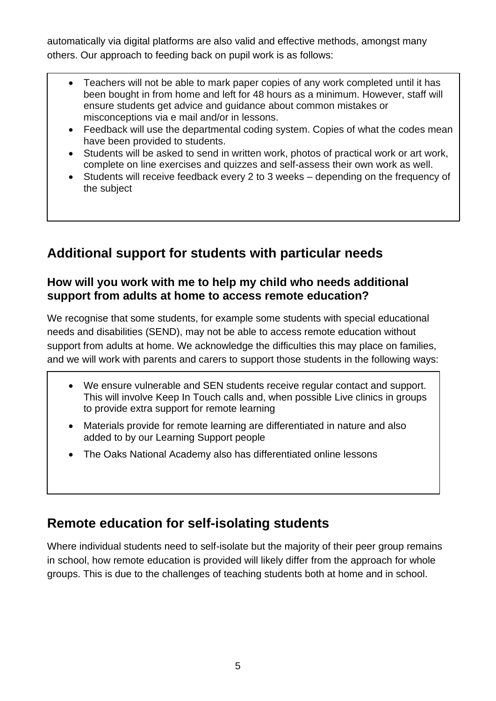automatically via digital platforms are also valid and effective methods, amongst many others. Our approach to feeding back on pupil work is as follows:

- Teachers will not be able to mark paper copies of any work completed until it has been bought in from home and left for 48 hours as a minimum. However, staff will ensure students get advice and guidance about common mistakes or misconceptions via e mail and/or in lessons.
- Feedback will use the departmental coding system. Copies of what the codes mean have been provided to students.
- Students will be asked to send in written work, photos of practical work or art work, complete on line exercises and quizzes and self-assess their own work as well.
- Students will receive feedback every 2 to 3 weeks depending on the frequency of the subject

# **Additional support for students with particular needs**

#### **How will you work with me to help my child who needs additional support from adults at home to access remote education?**

We recognise that some students, for example some students with special educational needs and disabilities (SEND), may not be able to access remote education without support from adults at home. We acknowledge the difficulties this may place on families, and we will work with parents and carers to support those students in the following ways:

- We ensure vulnerable and SEN students receive regular contact and support. This will involve Keep In Touch calls and, when possible Live clinics in groups to provide extra support for remote learning
- Materials provide for remote learning are differentiated in nature and also added to by our Learning Support people
- The Oaks National Academy also has differentiated online lessons

# **Remote education for self-isolating students**

Where individual students need to self-isolate but the majority of their peer group remains in school, how remote education is provided will likely differ from the approach for whole groups. This is due to the challenges of teaching students both at home and in school.